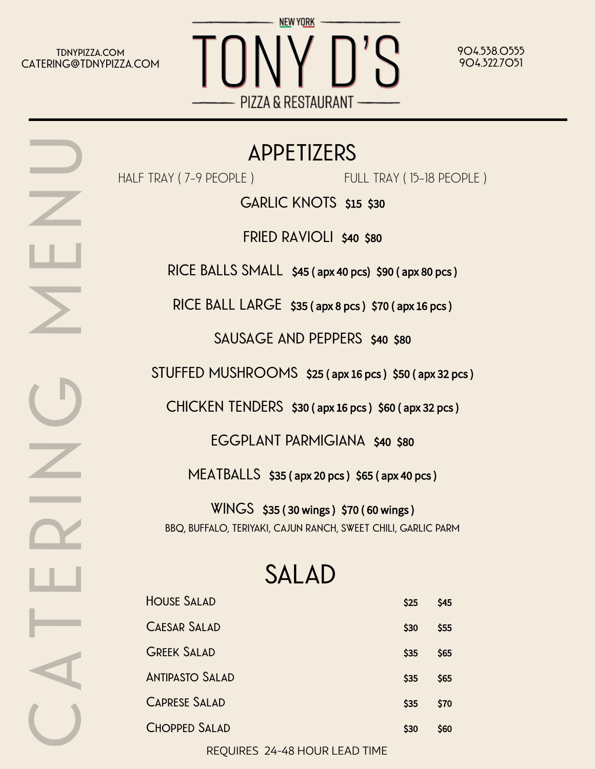**tdnypizza.com CATERING@TDNYPIZZA.COM**

**C**

**A**

 $\overline{}$ 

**E**

**R**

**N**

**G**

**M**

**E**

**N**

**U**



**904.538.0555 904.322.7051**

## **APPETIZERS**

HALF TRAY (7-9 PEOPLE)

FULL TRAY ( 15-18 PEOPLE )

**GARLIC KNOTS** \$15 \$30

**FRIED RAVIOLI** \$40 \$80

**RICE BALLS SMALL** \$45 ( apx 40 pcs) \$90 ( apx 80 pcs )

**RICE BALL LARGE** \$35 ( apx 8 pcs ) \$70 ( apx 16 pcs )

**SAUSAGE AND PEPPERS** \$40 \$80

**STUFFED MUSHROOMS** \$25 ( apx 16 pcs ) \$50 ( apx 32 pcs )

**CHICKEN TENDERS** \$30 ( apx 16 pcs ) \$60 ( apx 32 pcs )

**EGGPLANT PARMIGIANA** \$40 \$80

**MEATBALLS** \$35 ( apx 20 pcs ) \$65 ( apx 40 pcs )

**WINGS** \$35 ( 30 wings ) \$70 ( 60 wings ) **BBQ, BUFFALO, TERIYAKI, CAJUN RANCH, SWEET CHILI, GARLIC PARM**

## **SALAD**

| <b>HOUSE SALAD</b>     | \$25 | \$45 |
|------------------------|------|------|
| <b>CAESAR SALAD</b>    | \$30 | \$55 |
| <b>GREEK SALAD</b>     | \$35 | \$65 |
| <b>ANTIPASTO SALAD</b> | \$35 | \$65 |
| <b>CAPRESE SALAD</b>   | \$35 | \$70 |
| <b>CHOPPED SALAD</b>   | \$30 | \$60 |
|                        |      |      |

REQUIRES 24-48 HOUR LEAD TIME